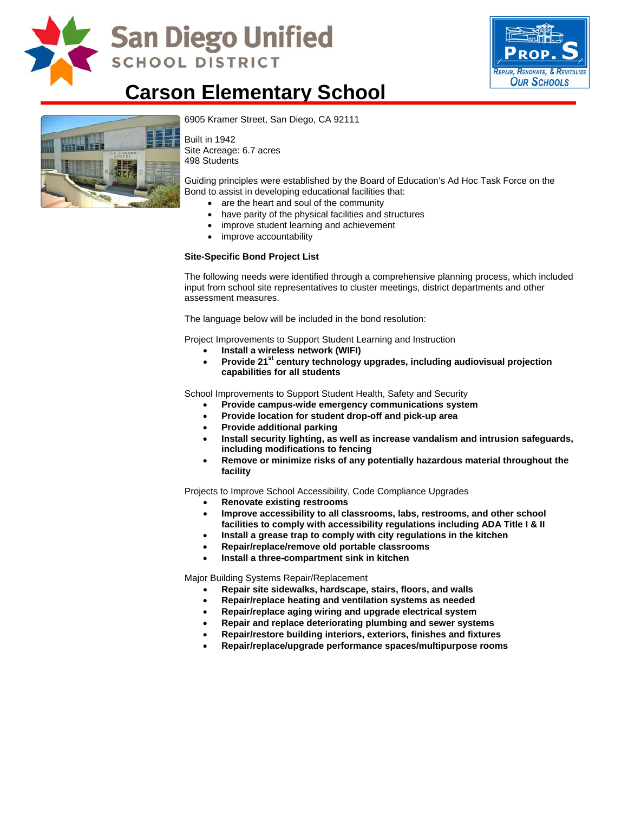

## **San Diego Unified SCHOOL DISTRICT**



### **Carson Elementary School**



[6905 Kramer Street, San Diego, CA](http://www.sandi.net/comm/schools/schlpix/carson.jpg) 92111

Built in 1942 Site Acreage: 6.7 acres 498 Students

Guiding principles were established by the Board of Education's Ad Hoc Task Force on the Bond to assist in developing educational facilities that:

- are the heart and soul of the community
- have parity of the physical facilities and structures
- improve student learning and achievement
- improve accountability

#### **Site-Specific Bond Project List**

The following needs were identified through a comprehensive planning process, which included input from school site representatives to cluster meetings, district departments and other assessment measures.

The language below will be included in the bond resolution:

Project Improvements to Support Student Learning and Instruction

- **Install a wireless network (WIFI)**
- Provide 21<sup>st</sup> century technology upgrades, including audiovisual projection **capabilities for all students**

School Improvements to Support Student Health, Safety and Security

- **Provide campus-wide emergency communications system**
- **Provide location for student drop-off and pick-up area**
- **Provide additional parking**
- **Install security lighting, as well as increase vandalism and intrusion safeguards, including modifications to fencing**
- **Remove or minimize risks of any potentially hazardous material throughout the facility**

Projects to Improve School Accessibility, Code Compliance Upgrades

- **Renovate existing restrooms**
- **Improve accessibility to all classrooms, labs, restrooms, and other school facilities to comply with accessibility regulations including ADA Title I & II**
- **Install a grease trap to comply with city regulations in the kitchen**
- **Repair/replace/remove old portable classrooms**
- **Install a three-compartment sink in kitchen**

Major Building Systems Repair/Replacement

- **Repair site sidewalks, hardscape, stairs, floors, and walls**
- **Repair/replace heating and ventilation systems as needed**
- **Repair/replace aging wiring and upgrade electrical system**
- **Repair and replace deteriorating plumbing and sewer systems**
- **Repair/restore building interiors, exteriors, finishes and fixtures**
- **Repair/replace/upgrade performance spaces/multipurpose rooms**